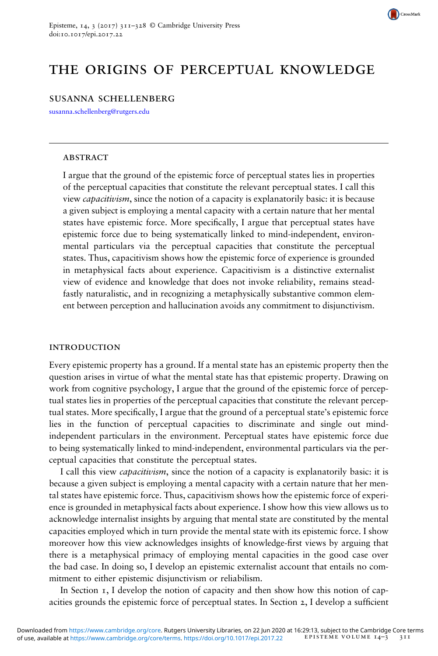

# the origins of perceptual knowledge

## susanna schellenberg

[susanna.schellenberg@rutgers.edu](mailto:susanna.schellenberg@rutgers.edu)

### **ABSTRACT**

I argue that the ground of the epistemic force of perceptual states lies in properties of the perceptual capacities that constitute the relevant perceptual states. I call this view capacitivism, since the notion of a capacity is explanatorily basic: it is because a given subject is employing a mental capacity with a certain nature that her mental states have epistemic force. More specifically, I argue that perceptual states have epistemic force due to being systematically linked to mind-independent, environmental particulars via the perceptual capacities that constitute the perceptual states. Thus, capacitivism shows how the epistemic force of experience is grounded in metaphysical facts about experience. Capacitivism is a distinctive externalist view of evidence and knowledge that does not invoke reliability, remains steadfastly naturalistic, and in recognizing a metaphysically substantive common element between perception and hallucination avoids any commitment to disjunctivism.

## **INTRODUCTION**

Every epistemic property has a ground. If a mental state has an epistemic property then the question arises in virtue of what the mental state has that epistemic property. Drawing on work from cognitive psychology, I argue that the ground of the epistemic force of perceptual states lies in properties of the perceptual capacities that constitute the relevant perceptual states. More specifically, I argue that the ground of a perceptual state's epistemic force lies in the function of perceptual capacities to discriminate and single out mindindependent particulars in the environment. Perceptual states have epistemic force due to being systematically linked to mind-independent, environmental particulars via the perceptual capacities that constitute the perceptual states.

I call this view *capacitivism*, since the notion of a capacity is explanatorily basic: it is because a given subject is employing a mental capacity with a certain nature that her mental states have epistemic force. Thus, capacitivism shows how the epistemic force of experience is grounded in metaphysical facts about experience. I show how this view allows us to acknowledge internalist insights by arguing that mental state are constituted by the mental capacities employed which in turn provide the mental state with its epistemic force. I show moreover how this view acknowledges insights of knowledge-first views by arguing that there is a metaphysical primacy of employing mental capacities in the good case over the bad case. In doing so, I develop an epistemic externalist account that entails no commitment to either epistemic disjunctivism or reliabilism.

In Section 1, I develop the notion of capacity and then show how this notion of capacities grounds the epistemic force of perceptual states. In Section 2, I develop a sufficient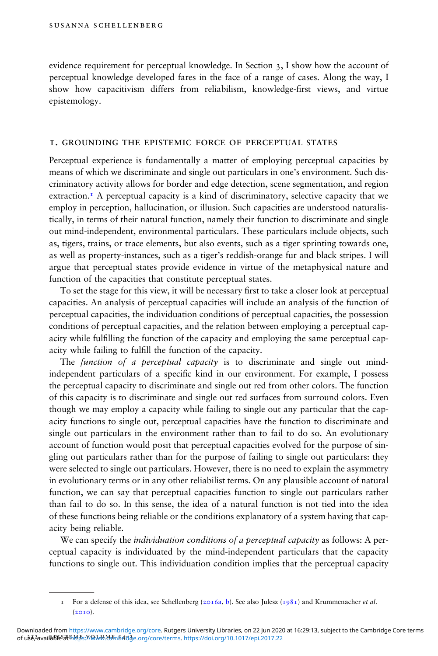evidence requirement for perceptual knowledge. In Section 3, I show how the account of perceptual knowledge developed fares in the face of a range of cases. Along the way, I show how capacitivism differs from reliabilism, knowledge-first views, and virtue epistemology.

#### 1. grounding the epistemic force of perceptual states

Perceptual experience is fundamentally a matter of employing perceptual capacities by means of which we discriminate and single out particulars in one's environment. Such discriminatory activity allows for border and edge detection, scene segmentation, and region extraction.<sup>1</sup> A perceptual capacity is a kind of discriminatory, selective capacity that we employ in perception, hallucination, or illusion. Such capacities are understood naturalistically, in terms of their natural function, namely their function to discriminate and single out mind-independent, environmental particulars. These particulars include objects, such as, tigers, trains, or trace elements, but also events, such as a tiger sprinting towards one, as well as property-instances, such as a tiger's reddish-orange fur and black stripes. I will argue that perceptual states provide evidence in virtue of the metaphysical nature and function of the capacities that constitute perceptual states.

To set the stage for this view, it will be necessary first to take a closer look at perceptual capacities. An analysis of perceptual capacities will include an analysis of the function of perceptual capacities, the individuation conditions of perceptual capacities, the possession conditions of perceptual capacities, and the relation between employing a perceptual capacity while fullling the function of the capacity and employing the same perceptual capacity while failing to fulfill the function of the capacity.

The *function* of a *perceptual capacity* is to discriminate and single out mindindependent particulars of a specific kind in our environment. For example, I possess the perceptual capacity to discriminate and single out red from other colors. The function of this capacity is to discriminate and single out red surfaces from surround colors. Even though we may employ a capacity while failing to single out any particular that the capacity functions to single out, perceptual capacities have the function to discriminate and single out particulars in the environment rather than to fail to do so. An evolutionary account of function would posit that perceptual capacities evolved for the purpose of singling out particulars rather than for the purpose of failing to single out particulars: they were selected to single out particulars. However, there is no need to explain the asymmetry in evolutionary terms or in any other reliabilist terms. On any plausible account of natural function, we can say that perceptual capacities function to single out particulars rather than fail to do so. In this sense, the idea of a natural function is not tied into the idea of these functions being reliable or the conditions explanatory of a system having that capacity being reliable.

We can specify the *individuation conditions of a perceptual capacity* as follows: A perceptual capacity is individuated by the mind-independent particulars that the capacity functions to single out. This individuation condition implies that the perceptual capacity

<sup>1</sup> For a defense of this idea, see Schellenberg ([2016a,](#page-17-0) [b\)](#page-17-0). See also Julesz [\(1981\)](#page-16-0) and Krummenacher et al. ([2010](#page-17-0)).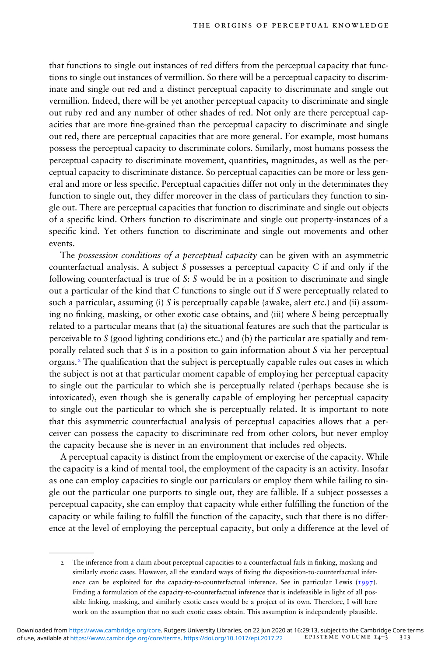that functions to single out instances of red differs from the perceptual capacity that functions to single out instances of vermillion. So there will be a perceptual capacity to discriminate and single out red and a distinct perceptual capacity to discriminate and single out vermillion. Indeed, there will be yet another perceptual capacity to discriminate and single out ruby red and any number of other shades of red. Not only are there perceptual capacities that are more fine-grained than the perceptual capacity to discriminate and single out red, there are perceptual capacities that are more general. For example, most humans possess the perceptual capacity to discriminate colors. Similarly, most humans possess the perceptual capacity to discriminate movement, quantities, magnitudes, as well as the perceptual capacity to discriminate distance. So perceptual capacities can be more or less general and more or less specific. Perceptual capacities differ not only in the determinates they function to single out, they differ moreover in the class of particulars they function to single out. There are perceptual capacities that function to discriminate and single out objects of a specific kind. Others function to discriminate and single out property-instances of a specific kind. Yet others function to discriminate and single out movements and other events.

The possession conditions of a perceptual capacity can be given with an asymmetric counterfactual analysis. A subject S possesses a perceptual capacity C if and only if the following counterfactual is true of S: S would be in a position to discriminate and single out a particular of the kind that C functions to single out if S were perceptually related to such a particular, assuming (i) S is perceptually capable (awake, alert etc.) and (ii) assuming no finking, masking, or other exotic case obtains, and (iii) where  $S$  being perceptually related to a particular means that (a) the situational features are such that the particular is perceivable to S (good lighting conditions etc.) and (b) the particular are spatially and temporally related such that S is in a position to gain information about S via her perceptual organs.<sup>2</sup> The qualification that the subject is perceptually capable rules out cases in which the subject is not at that particular moment capable of employing her perceptual capacity to single out the particular to which she is perceptually related (perhaps because she is intoxicated), even though she is generally capable of employing her perceptual capacity to single out the particular to which she is perceptually related. It is important to note that this asymmetric counterfactual analysis of perceptual capacities allows that a perceiver can possess the capacity to discriminate red from other colors, but never employ the capacity because she is never in an environment that includes red objects.

A perceptual capacity is distinct from the employment or exercise of the capacity. While the capacity is a kind of mental tool, the employment of the capacity is an activity. Insofar as one can employ capacities to single out particulars or employ them while failing to single out the particular one purports to single out, they are fallible. If a subject possesses a perceptual capacity, she can employ that capacity while either fullling the function of the capacity or while failing to fulfill the function of the capacity, such that there is no difference at the level of employing the perceptual capacity, but only a difference at the level of

<sup>2</sup> The inference from a claim about perceptual capacities to a counterfactual fails in finking, masking and similarly exotic cases. However, all the standard ways of fixing the disposition-to-counterfactual inference can be exploited for the capacity-to-counterfactual inference. See in particular Lewis ([1997](#page-17-0)). Finding a formulation of the capacity-to-counterfactual inference that is indefeasible in light of all possible finking, masking, and similarly exotic cases would be a project of its own. Therefore, I will here work on the assumption that no such exotic cases obtain. This assumption is independently plausible.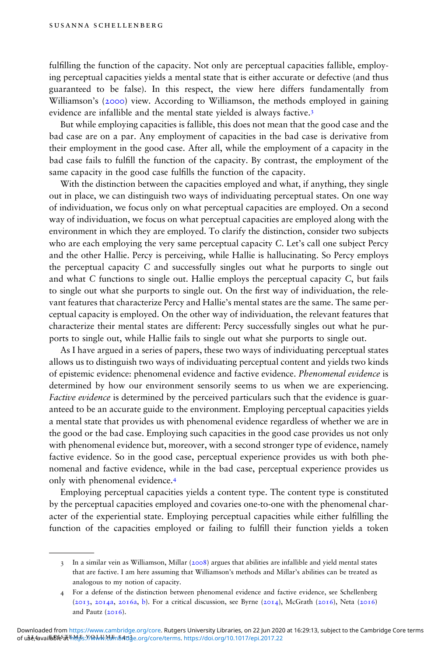fulfilling the function of the capacity. Not only are perceptual capacities fallible, employing perceptual capacities yields a mental state that is either accurate or defective (and thus guaranteed to be false). In this respect, the view here differs fundamentally from Williamson's ([2000\)](#page-17-0) view. According to Williamson, the methods employed in gaining evidence are infallible and the mental state yielded is always factive.3

But while employing capacities is fallible, this does not mean that the good case and the bad case are on a par. Any employment of capacities in the bad case is derivative from their employment in the good case. After all, while the employment of a capacity in the bad case fails to fulll the function of the capacity. By contrast, the employment of the same capacity in the good case fulfills the function of the capacity.

With the distinction between the capacities employed and what, if anything, they single out in place, we can distinguish two ways of individuating perceptual states. On one way of individuation, we focus only on what perceptual capacities are employed. On a second way of individuation, we focus on what perceptual capacities are employed along with the environment in which they are employed. To clarify the distinction, consider two subjects who are each employing the very same perceptual capacity C. Let's call one subject Percy and the other Hallie. Percy is perceiving, while Hallie is hallucinating. So Percy employs the perceptual capacity C and successfully singles out what he purports to single out and what C functions to single out. Hallie employs the perceptual capacity C, but fails to single out what she purports to single out. On the first way of individuation, the relevant features that characterize Percy and Hallie's mental states are the same. The same perceptual capacity is employed. On the other way of individuation, the relevant features that characterize their mental states are different: Percy successfully singles out what he purports to single out, while Hallie fails to single out what she purports to single out.

As I have argued in a series of papers, these two ways of individuating perceptual states allows us to distinguish two ways of individuating perceptual content and yields two kinds of epistemic evidence: phenomenal evidence and factive evidence. Phenomenal evidence is determined by how our environment sensorily seems to us when we are experiencing. Factive evidence is determined by the perceived particulars such that the evidence is guaranteed to be an accurate guide to the environment. Employing perceptual capacities yields a mental state that provides us with phenomenal evidence regardless of whether we are in the good or the bad case. Employing such capacities in the good case provides us not only with phenomenal evidence but, moreover, with a second stronger type of evidence, namely factive evidence. So in the good case, perceptual experience provides us with both phenomenal and factive evidence, while in the bad case, perceptual experience provides us only with phenomenal evidence.4

Employing perceptual capacities yields a content type. The content type is constituted by the perceptual capacities employed and covaries one-to-one with the phenomenal character of the experiential state. Employing perceptual capacities while either fullling the function of the capacities employed or failing to fulfill their function yields a token

<sup>3</sup> In a similar vein as Williamson, Millar [\(2008\)](#page-17-0) argues that abilities are infallible and yield mental states that are factive. I am here assuming that Williamson's methods and Millar's abilities can be treated as analogous to my notion of capacity.

<sup>4</sup> For a defense of the distinction between phenomenal evidence and factive evidence, see Schellenberg ([2013](#page-17-0), [2014a,](#page-17-0) [2016a,](#page-17-0) [b](#page-17-0)). For a critical discussion, see Byrne [\(2014\)](#page-16-0), McGrath [\(2016\)](#page-17-0), Neta ([2016\)](#page-17-0) and Pautz ([2016](#page-17-0)).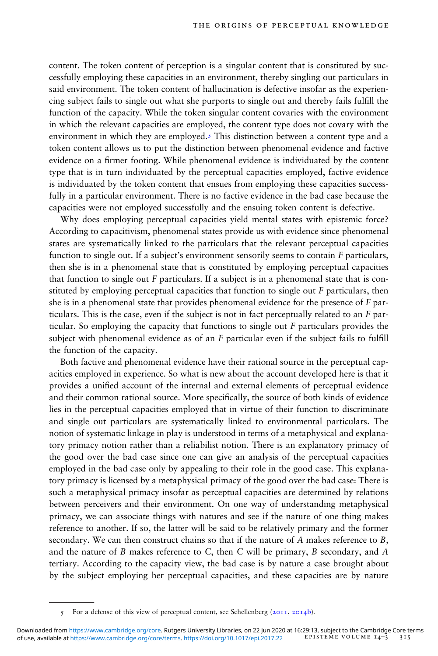content. The token content of perception is a singular content that is constituted by successfully employing these capacities in an environment, thereby singling out particulars in said environment. The token content of hallucination is defective insofar as the experiencing subject fails to single out what she purports to single out and thereby fails fulll the function of the capacity. While the token singular content covaries with the environment in which the relevant capacities are employed, the content type does not covary with the environment in which they are employed.<sup>5</sup> This distinction between a content type and a token content allows us to put the distinction between phenomenal evidence and factive evidence on a firmer footing. While phenomenal evidence is individuated by the content type that is in turn individuated by the perceptual capacities employed, factive evidence is individuated by the token content that ensues from employing these capacities successfully in a particular environment. There is no factive evidence in the bad case because the capacities were not employed successfully and the ensuing token content is defective.

Why does employing perceptual capacities yield mental states with epistemic force? According to capacitivism, phenomenal states provide us with evidence since phenomenal states are systematically linked to the particulars that the relevant perceptual capacities function to single out. If a subject's environment sensorily seems to contain  $F$  particulars, then she is in a phenomenal state that is constituted by employing perceptual capacities that function to single out  $F$  particulars. If a subject is in a phenomenal state that is constituted by employing perceptual capacities that function to single out  $F$  particulars, then she is in a phenomenal state that provides phenomenal evidence for the presence of F particulars. This is the case, even if the subject is not in fact perceptually related to an F particular. So employing the capacity that functions to single out  $F$  particulars provides the subject with phenomenal evidence as of an  $F$  particular even if the subject fails to fulfill the function of the capacity.

Both factive and phenomenal evidence have their rational source in the perceptual capacities employed in experience. So what is new about the account developed here is that it provides a unified account of the internal and external elements of perceptual evidence and their common rational source. More specifically, the source of both kinds of evidence lies in the perceptual capacities employed that in virtue of their function to discriminate and single out particulars are systematically linked to environmental particulars. The notion of systematic linkage in play is understood in terms of a metaphysical and explanatory primacy notion rather than a reliabilist notion. There is an explanatory primacy of the good over the bad case since one can give an analysis of the perceptual capacities employed in the bad case only by appealing to their role in the good case. This explanatory primacy is licensed by a metaphysical primacy of the good over the bad case: There is such a metaphysical primacy insofar as perceptual capacities are determined by relations between perceivers and their environment. On one way of understanding metaphysical primacy, we can associate things with natures and see if the nature of one thing makes reference to another. If so, the latter will be said to be relatively primary and the former secondary. We can then construct chains so that if the nature of A makes reference to B, and the nature of B makes reference to C, then C will be primary, B secondary, and A tertiary. According to the capacity view, the bad case is by nature a case brought about by the subject employing her perceptual capacities, and these capacities are by nature

<sup>5</sup> For a defense of this view of perceptual content, see Schellenberg [\(2011,](#page-17-0) [2014b](#page-17-0)).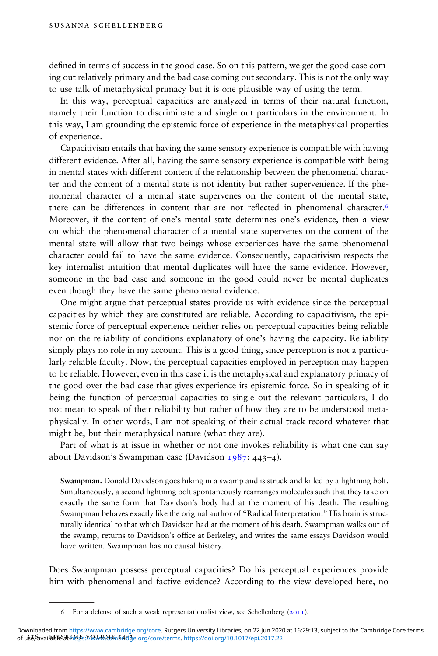defined in terms of success in the good case. So on this pattern, we get the good case coming out relatively primary and the bad case coming out secondary. This is not the only way to use talk of metaphysical primacy but it is one plausible way of using the term.

In this way, perceptual capacities are analyzed in terms of their natural function, namely their function to discriminate and single out particulars in the environment. In this way, I am grounding the epistemic force of experience in the metaphysical properties of experience.

Capacitivism entails that having the same sensory experience is compatible with having different evidence. After all, having the same sensory experience is compatible with being in mental states with different content if the relationship between the phenomenal character and the content of a mental state is not identity but rather supervenience. If the phenomenal character of a mental state supervenes on the content of the mental state, there can be differences in content that are not reflected in phenomenal character.<sup>6</sup> Moreover, if the content of one's mental state determines one's evidence, then a view on which the phenomenal character of a mental state supervenes on the content of the mental state will allow that two beings whose experiences have the same phenomenal character could fail to have the same evidence. Consequently, capacitivism respects the key internalist intuition that mental duplicates will have the same evidence. However, someone in the bad case and someone in the good could never be mental duplicates even though they have the same phenomenal evidence.

One might argue that perceptual states provide us with evidence since the perceptual capacities by which they are constituted are reliable. According to capacitivism, the epistemic force of perceptual experience neither relies on perceptual capacities being reliable nor on the reliability of conditions explanatory of one's having the capacity. Reliability simply plays no role in my account. This is a good thing, since perception is not a particularly reliable faculty. Now, the perceptual capacities employed in perception may happen to be reliable. However, even in this case it is the metaphysical and explanatory primacy of the good over the bad case that gives experience its epistemic force. So in speaking of it being the function of perceptual capacities to single out the relevant particulars, I do not mean to speak of their reliability but rather of how they are to be understood metaphysically. In other words, I am not speaking of their actual track-record whatever that might be, but their metaphysical nature (what they are).

Part of what is at issue in whether or not one invokes reliability is what one can say about Davidson's Swampman case (Davidson [1987:](#page-16-0) 443–4).

Swampman. Donald Davidson goes hiking in a swamp and is struck and killed by a lightning bolt. Simultaneously, a second lightning bolt spontaneously rearranges molecules such that they take on exactly the same form that Davidson's body had at the moment of his death. The resulting Swampman behaves exactly like the original author of "Radical Interpretation." His brain is structurally identical to that which Davidson had at the moment of his death. Swampman walks out of the swamp, returns to Davidson's office at Berkeley, and writes the same essays Davidson would have written. Swampman has no causal history.

Does Swampman possess perceptual capacities? Do his perceptual experiences provide him with phenomenal and factive evidence? According to the view developed here, no

<sup>6</sup> For a defense of such a weak representationalist view, see Schellenberg [\(2011\)](#page-17-0).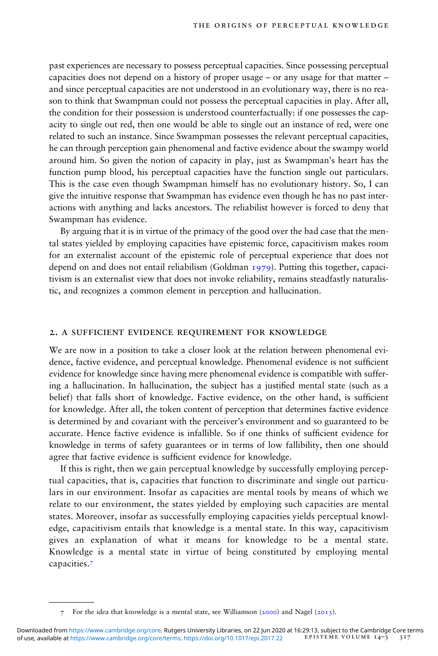past experiences are necessary to possess perceptual capacities. Since possessing perceptual capacities does not depend on a history of proper usage – or any usage for that matter – and since perceptual capacities are not understood in an evolutionary way, there is no reason to think that Swampman could not possess the perceptual capacities in play. After all, the condition for their possession is understood counterfactually: if one possesses the capacity to single out red, then one would be able to single out an instance of red, were one related to such an instance. Since Swampman possesses the relevant perceptual capacities, he can through perception gain phenomenal and factive evidence about the swampy world around him. So given the notion of capacity in play, just as Swampman's heart has the function pump blood, his perceptual capacities have the function single out particulars. This is the case even though Swampman himself has no evolutionary history. So, I can give the intuitive response that Swampman has evidence even though he has no past interactions with anything and lacks ancestors. The reliabilist however is forced to deny that Swampman has evidence.

By arguing that it is in virtue of the primacy of the good over the bad case that the mental states yielded by employing capacities have epistemic force, capacitivism makes room for an externalist account of the epistemic role of perceptual experience that does not depend on and does not entail reliabilism (Goldman [1979\)](#page-16-0). Putting this together, capacitivism is an externalist view that does not invoke reliability, remains steadfastly naturalistic, and recognizes a common element in perception and hallucination.

## 2. a sufficient evidence requirement for knowledge

We are now in a position to take a closer look at the relation between phenomenal evidence, factive evidence, and perceptual knowledge. Phenomenal evidence is not sufficient evidence for knowledge since having mere phenomenal evidence is compatible with suffering a hallucination. In hallucination, the subject has a justied mental state (such as a belief) that falls short of knowledge. Factive evidence, on the other hand, is sufficient for knowledge. After all, the token content of perception that determines factive evidence is determined by and covariant with the perceiver's environment and so guaranteed to be accurate. Hence factive evidence is infallible. So if one thinks of sufficient evidence for knowledge in terms of safety guarantees or in terms of low fallibility, then one should agree that factive evidence is sufficient evidence for knowledge.

If this is right, then we gain perceptual knowledge by successfully employing perceptual capacities, that is, capacities that function to discriminate and single out particulars in our environment. Insofar as capacities are mental tools by means of which we relate to our environment, the states yielded by employing such capacities are mental states. Moreover, insofar as successfully employing capacities yields perceptual knowledge, capacitivism entails that knowledge is a mental state. In this way, capacitivism gives an explanation of what it means for knowledge to be a mental state. Knowledge is a mental state in virtue of being constituted by employing mental capacities.<sup>7</sup>

<sup>7</sup> For the idea that knowledge is a mental state, see Williamson [\(2000\)](#page-17-0) and Nagel [\(2013\)](#page-17-0).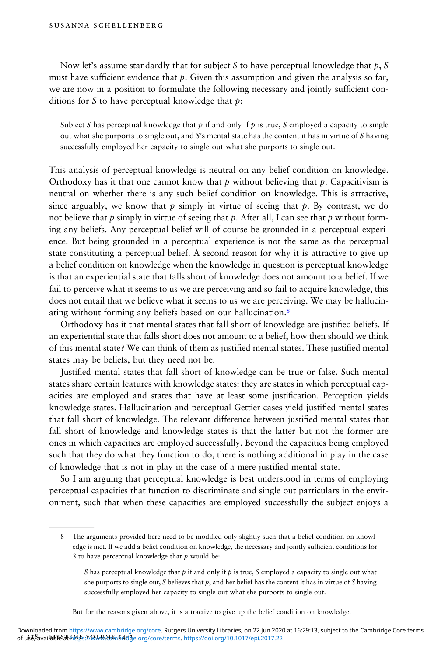Now let's assume standardly that for subject S to have perceptual knowledge that p, S must have sufficient evidence that  $p$ . Given this assumption and given the analysis so far, we are now in a position to formulate the following necessary and jointly sufficient conditions for S to have perceptual knowledge that  $p$ .

Subject S has perceptual knowledge that p if and only if p is true, S employed a capacity to single out what she purports to single out, and  $S$ 's mental state has the content it has in virtue of  $S$  having successfully employed her capacity to single out what she purports to single out.

This analysis of perceptual knowledge is neutral on any belief condition on knowledge. Orthodoxy has it that one cannot know that  $p$  without believing that  $p$ . Capacitivism is neutral on whether there is any such belief condition on knowledge. This is attractive, since arguably, we know that  $p$  simply in virtue of seeing that  $p$ . By contrast, we do not believe that p simply in virtue of seeing that p. After all, I can see that p without forming any beliefs. Any perceptual belief will of course be grounded in a perceptual experience. But being grounded in a perceptual experience is not the same as the perceptual state constituting a perceptual belief. A second reason for why it is attractive to give up a belief condition on knowledge when the knowledge in question is perceptual knowledge is that an experiential state that falls short of knowledge does not amount to a belief. If we fail to perceive what it seems to us we are perceiving and so fail to acquire knowledge, this does not entail that we believe what it seems to us we are perceiving. We may be hallucinating without forming any beliefs based on our hallucination.8

Orthodoxy has it that mental states that fall short of knowledge are justified beliefs. If an experiential state that falls short does not amount to a belief, how then should we think of this mental state? We can think of them as justified mental states. These justified mental states may be beliefs, but they need not be.

Justied mental states that fall short of knowledge can be true or false. Such mental states share certain features with knowledge states: they are states in which perceptual capacities are employed and states that have at least some justification. Perception yields knowledge states. Hallucination and perceptual Gettier cases yield justified mental states that fall short of knowledge. The relevant difference between justified mental states that fall short of knowledge and knowledge states is that the latter but not the former are ones in which capacities are employed successfully. Beyond the capacities being employed such that they do what they function to do, there is nothing additional in play in the case of knowledge that is not in play in the case of a mere justified mental state.

So I am arguing that perceptual knowledge is best understood in terms of employing perceptual capacities that function to discriminate and single out particulars in the environment, such that when these capacities are employed successfully the subject enjoys a

<sup>8</sup> The arguments provided here need to be modied only slightly such that a belief condition on knowledge is met. If we add a belief condition on knowledge, the necessary and jointly sufficient conditions for S to have perceptual knowledge that  $p$  would be:

S has perceptual knowledge that  $p$  if and only if  $p$  is true, S employed a capacity to single out what she purports to single out, S believes that  $p$ , and her belief has the content it has in virtue of S having successfully employed her capacity to single out what she purports to single out.

But for the reasons given above, it is attractive to give up the belief condition on knowledge.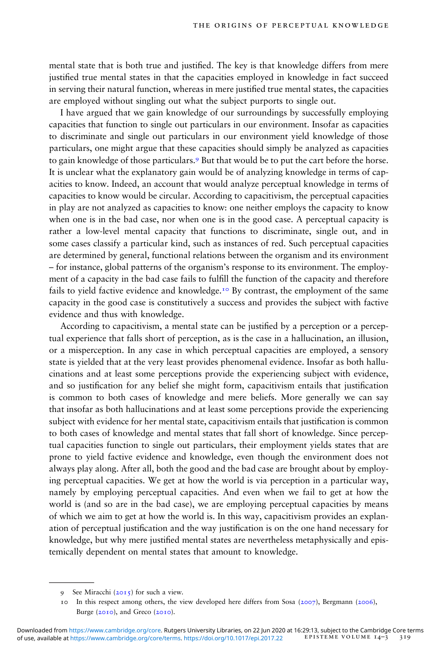mental state that is both true and justified. The key is that knowledge differs from mere justied true mental states in that the capacities employed in knowledge in fact succeed in serving their natural function, whereas in mere justified true mental states, the capacities are employed without singling out what the subject purports to single out.

I have argued that we gain knowledge of our surroundings by successfully employing capacities that function to single out particulars in our environment. Insofar as capacities to discriminate and single out particulars in our environment yield knowledge of those particulars, one might argue that these capacities should simply be analyzed as capacities to gain knowledge of those particulars.<sup>9</sup> But that would be to put the cart before the horse. It is unclear what the explanatory gain would be of analyzing knowledge in terms of capacities to know. Indeed, an account that would analyze perceptual knowledge in terms of capacities to know would be circular. According to capacitivism, the perceptual capacities in play are not analyzed as capacities to know: one neither employs the capacity to know when one is in the bad case, nor when one is in the good case. A perceptual capacity is rather a low-level mental capacity that functions to discriminate, single out, and in some cases classify a particular kind, such as instances of red. Such perceptual capacities are determined by general, functional relations between the organism and its environment – for instance, global patterns of the organism's response to its environment. The employment of a capacity in the bad case fails to fulll the function of the capacity and therefore fails to yield factive evidence and knowledge.<sup>10</sup> By contrast, the employment of the same capacity in the good case is constitutively a success and provides the subject with factive evidence and thus with knowledge.

According to capacitivism, a mental state can be justied by a perception or a perceptual experience that falls short of perception, as is the case in a hallucination, an illusion, or a misperception. In any case in which perceptual capacities are employed, a sensory state is yielded that at the very least provides phenomenal evidence. Insofar as both hallucinations and at least some perceptions provide the experiencing subject with evidence, and so justification for any belief she might form, capacitivism entails that justification is common to both cases of knowledge and mere beliefs. More generally we can say that insofar as both hallucinations and at least some perceptions provide the experiencing subject with evidence for her mental state, capacitivism entails that justification is common to both cases of knowledge and mental states that fall short of knowledge. Since perceptual capacities function to single out particulars, their employment yields states that are prone to yield factive evidence and knowledge, even though the environment does not always play along. After all, both the good and the bad case are brought about by employing perceptual capacities. We get at how the world is via perception in a particular way, namely by employing perceptual capacities. And even when we fail to get at how the world is (and so are in the bad case), we are employing perceptual capacities by means of which we aim to get at how the world is. In this way, capacitivism provides an explanation of perceptual justification and the way justification is on the one hand necessary for knowledge, but why mere justified mental states are nevertheless metaphysically and epistemically dependent on mental states that amount to knowledge.

<sup>9</sup> See Miracchi ([2015](#page-17-0)) for such a view.

<sup>10</sup> In this respect among others, the view developed here differs from Sosa ([2007](#page-17-0)), Bergmann ([2006](#page-16-0)), Burge [\(2010\)](#page-16-0), and Greco (2010).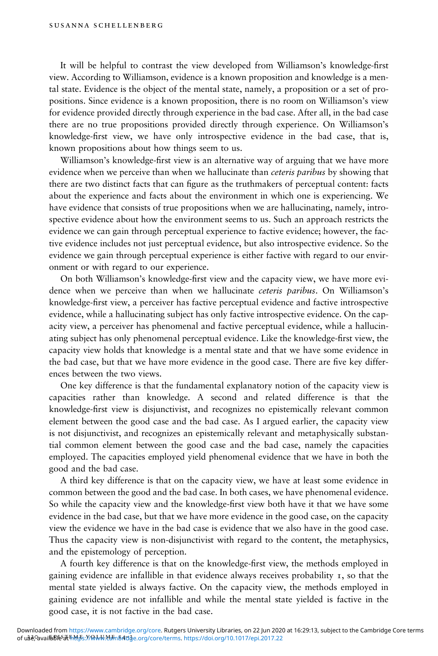It will be helpful to contrast the view developed from Williamson's knowledge-first view. According to Williamson, evidence is a known proposition and knowledge is a mental state. Evidence is the object of the mental state, namely, a proposition or a set of propositions. Since evidence is a known proposition, there is no room on Williamson's view for evidence provided directly through experience in the bad case. After all, in the bad case there are no true propositions provided directly through experience. On Williamson's knowledge-first view, we have only introspective evidence in the bad case, that is, known propositions about how things seem to us.

Williamson's knowledge-first view is an alternative way of arguing that we have more evidence when we perceive than when we hallucinate than *ceteris paribus* by showing that there are two distinct facts that can figure as the truthmakers of perceptual content: facts about the experience and facts about the environment in which one is experiencing. We have evidence that consists of true propositions when we are hallucinating, namely, introspective evidence about how the environment seems to us. Such an approach restricts the evidence we can gain through perceptual experience to factive evidence; however, the factive evidence includes not just perceptual evidence, but also introspective evidence. So the evidence we gain through perceptual experience is either factive with regard to our environment or with regard to our experience.

On both Williamson's knowledge-first view and the capacity view, we have more evidence when we perceive than when we hallucinate ceteris paribus. On Williamson's knowledge-first view, a perceiver has factive perceptual evidence and factive introspective evidence, while a hallucinating subject has only factive introspective evidence. On the capacity view, a perceiver has phenomenal and factive perceptual evidence, while a hallucinating subject has only phenomenal perceptual evidence. Like the knowledge-first view, the capacity view holds that knowledge is a mental state and that we have some evidence in the bad case, but that we have more evidence in the good case. There are five key differences between the two views.

One key difference is that the fundamental explanatory notion of the capacity view is capacities rather than knowledge. A second and related difference is that the knowledge-first view is disjunctivist, and recognizes no epistemically relevant common element between the good case and the bad case. As I argued earlier, the capacity view is not disjunctivist, and recognizes an epistemically relevant and metaphysically substantial common element between the good case and the bad case, namely the capacities employed. The capacities employed yield phenomenal evidence that we have in both the good and the bad case.

A third key difference is that on the capacity view, we have at least some evidence in common between the good and the bad case. In both cases, we have phenomenal evidence. So while the capacity view and the knowledge-first view both have it that we have some evidence in the bad case, but that we have more evidence in the good case, on the capacity view the evidence we have in the bad case is evidence that we also have in the good case. Thus the capacity view is non-disjunctivist with regard to the content, the metaphysics, and the epistemology of perception.

A fourth key difference is that on the knowledge-first view, the methods employed in gaining evidence are infallible in that evidence always receives probability 1, so that the mental state yielded is always factive. On the capacity view, the methods employed in gaining evidence are not infallible and while the mental state yielded is factive in the good case, it is not factive in the bad case.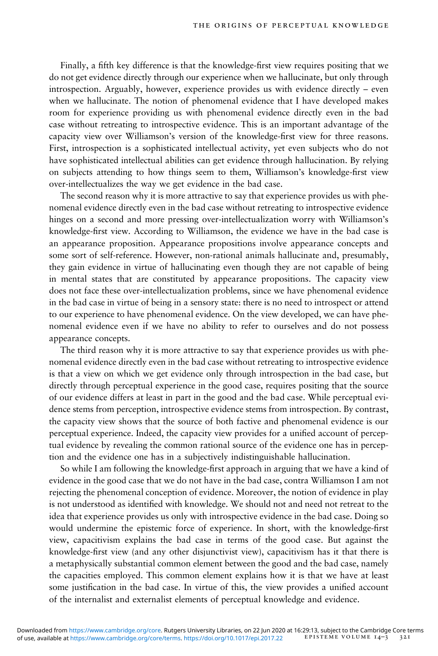Finally, a fifth key difference is that the knowledge-first view requires positing that we do not get evidence directly through our experience when we hallucinate, but only through introspection. Arguably, however, experience provides us with evidence directly – even when we hallucinate. The notion of phenomenal evidence that I have developed makes room for experience providing us with phenomenal evidence directly even in the bad case without retreating to introspective evidence. This is an important advantage of the capacity view over Williamson's version of the knowledge-first view for three reasons. First, introspection is a sophisticated intellectual activity, yet even subjects who do not have sophisticated intellectual abilities can get evidence through hallucination. By relying on subjects attending to how things seem to them, Williamson's knowledge-first view over-intellectualizes the way we get evidence in the bad case.

The second reason why it is more attractive to say that experience provides us with phenomenal evidence directly even in the bad case without retreating to introspective evidence hinges on a second and more pressing over-intellectualization worry with Williamson's knowledge-first view. According to Williamson, the evidence we have in the bad case is an appearance proposition. Appearance propositions involve appearance concepts and some sort of self-reference. However, non-rational animals hallucinate and, presumably, they gain evidence in virtue of hallucinating even though they are not capable of being in mental states that are constituted by appearance propositions. The capacity view does not face these over-intellectualization problems, since we have phenomenal evidence in the bad case in virtue of being in a sensory state: there is no need to introspect or attend to our experience to have phenomenal evidence. On the view developed, we can have phenomenal evidence even if we have no ability to refer to ourselves and do not possess appearance concepts.

The third reason why it is more attractive to say that experience provides us with phenomenal evidence directly even in the bad case without retreating to introspective evidence is that a view on which we get evidence only through introspection in the bad case, but directly through perceptual experience in the good case, requires positing that the source of our evidence differs at least in part in the good and the bad case. While perceptual evidence stems from perception, introspective evidence stems from introspection. By contrast, the capacity view shows that the source of both factive and phenomenal evidence is our perceptual experience. Indeed, the capacity view provides for a unified account of perceptual evidence by revealing the common rational source of the evidence one has in perception and the evidence one has in a subjectively indistinguishable hallucination.

So while I am following the knowledge-first approach in arguing that we have a kind of evidence in the good case that we do not have in the bad case, contra Williamson I am not rejecting the phenomenal conception of evidence. Moreover, the notion of evidence in play is not understood as identified with knowledge. We should not and need not retreat to the idea that experience provides us only with introspective evidence in the bad case. Doing so would undermine the epistemic force of experience. In short, with the knowledge-first view, capacitivism explains the bad case in terms of the good case. But against the knowledge-first view (and any other disjunctivist view), capacitivism has it that there is a metaphysically substantial common element between the good and the bad case, namely the capacities employed. This common element explains how it is that we have at least some justification in the bad case. In virtue of this, the view provides a unified account of the internalist and externalist elements of perceptual knowledge and evidence.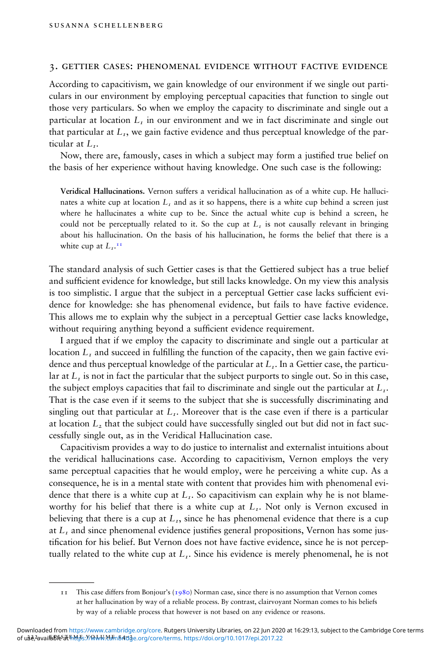### 3. gettier cases: phenomenal evidence without factive evidence

According to capacitivism, we gain knowledge of our environment if we single out particulars in our environment by employing perceptual capacities that function to single out those very particulars. So when we employ the capacity to discriminate and single out a particular at location  $L<sub>r</sub>$  in our environment and we in fact discriminate and single out that particular at  $L_1$ , we gain factive evidence and thus perceptual knowledge of the particular at  $L_{1}$ .

Now, there are, famously, cases in which a subject may form a justified true belief on the basis of her experience without having knowledge. One such case is the following:

Veridical Hallucinations. Vernon suffers a veridical hallucination as of a white cup. He hallucinates a white cup at location  $L_1$  and as it so happens, there is a white cup behind a screen just where he hallucinates a white cup to be. Since the actual white cup is behind a screen, he could not be perceptually related to it. So the cup at  $L<sub>I</sub>$  is not causally relevant in bringing about his hallucination. On the basis of his hallucination, he forms the belief that there is a white cup at  $L_{I}$ .<sup>11</sup>

The standard analysis of such Gettier cases is that the Gettiered subject has a true belief and sufficient evidence for knowledge, but still lacks knowledge. On my view this analysis is too simplistic. I argue that the subject in a perceptual Gettier case lacks sufficient evidence for knowledge: she has phenomenal evidence, but fails to have factive evidence. This allows me to explain why the subject in a perceptual Gettier case lacks knowledge, without requiring anything beyond a sufficient evidence requirement.

I argued that if we employ the capacity to discriminate and single out a particular at location  $L<sub>t</sub>$  and succeed in fulfilling the function of the capacity, then we gain factive evidence and thus perceptual knowledge of the particular at  $L<sub>1</sub>$ . In a Gettier case, the particular at  $L<sub>r</sub>$  is not in fact the particular that the subject purports to single out. So in this case, the subject employs capacities that fail to discriminate and single out the particular at  $L<sub>1</sub>$ . That is the case even if it seems to the subject that she is successfully discriminating and singling out that particular at  $L<sub>t</sub>$ . Moreover that is the case even if there is a particular at location  $L<sub>2</sub>$  that the subject could have successfully singled out but did not in fact successfully single out, as in the Veridical Hallucination case.

Capacitivism provides a way to do justice to internalist and externalist intuitions about the veridical hallucinations case. According to capacitivism, Vernon employs the very same perceptual capacities that he would employ, were he perceiving a white cup. As a consequence, he is in a mental state with content that provides him with phenomenal evidence that there is a white cup at  $L<sub>1</sub>$ . So capacitivism can explain why he is not blameworthy for his belief that there is a white cup at  $L<sub>I</sub>$ . Not only is Vernon excused in believing that there is a cup at  $L<sub>1</sub>$ , since he has phenomenal evidence that there is a cup at  $L<sub>r</sub>$  and since phenomenal evidence justifies general propositions, Vernon has some justification for his belief. But Vernon does not have factive evidence, since he is not perceptually related to the white cup at  $L<sub>r</sub>$ . Since his evidence is merely phenomenal, he is not

 $11$  This case differs from Bonjour's [\(1980\)](#page-16-0) Norman case, since there is no assumption that Vernon comes at her hallucination by way of a reliable process. By contrast, clairvoyant Norman comes to his beliefs by way of a reliable process that however is not based on any evidence or reasons.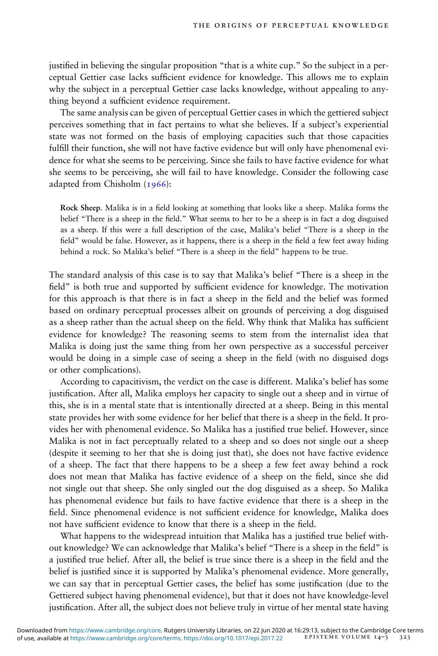justied in believing the singular proposition "that is a white cup." So the subject in a perceptual Gettier case lacks sufficient evidence for knowledge. This allows me to explain why the subject in a perceptual Gettier case lacks knowledge, without appealing to anything beyond a sufficient evidence requirement.

The same analysis can be given of perceptual Gettier cases in which the gettiered subject perceives something that in fact pertains to what she believes. If a subject's experiential state was not formed on the basis of employing capacities such that those capacities fulfill their function, she will not have factive evidence but will only have phenomenal evidence for what she seems to be perceiving. Since she fails to have factive evidence for what she seems to be perceiving, she will fail to have knowledge. Consider the following case adapted from Chisholm  $(1966)$  $(1966)$ :

Rock Sheep. Malika is in a field looking at something that looks like a sheep. Malika forms the belief "There is a sheep in the field." What seems to her to be a sheep is in fact a dog disguised as a sheep. If this were a full description of the case, Malika's belief "There is a sheep in the field" would be false. However, as it happens, there is a sheep in the field a few feet away hiding behind a rock. So Malika's belief "There is a sheep in the field" happens to be true.

The standard analysis of this case is to say that Malika's belief "There is a sheep in the field" is both true and supported by sufficient evidence for knowledge. The motivation for this approach is that there is in fact a sheep in the field and the belief was formed based on ordinary perceptual processes albeit on grounds of perceiving a dog disguised as a sheep rather than the actual sheep on the field. Why think that Malika has sufficient evidence for knowledge? The reasoning seems to stem from the internalist idea that Malika is doing just the same thing from her own perspective as a successful perceiver would be doing in a simple case of seeing a sheep in the field (with no disguised dogs or other complications).

According to capacitivism, the verdict on the case is different. Malika's belief has some justification. After all, Malika employs her capacity to single out a sheep and in virtue of this, she is in a mental state that is intentionally directed at a sheep. Being in this mental state provides her with some evidence for her belief that there is a sheep in the field. It provides her with phenomenal evidence. So Malika has a justied true belief. However, since Malika is not in fact perceptually related to a sheep and so does not single out a sheep (despite it seeming to her that she is doing just that), she does not have factive evidence of a sheep. The fact that there happens to be a sheep a few feet away behind a rock does not mean that Malika has factive evidence of a sheep on the field, since she did not single out that sheep. She only singled out the dog disguised as a sheep. So Malika has phenomenal evidence but fails to have factive evidence that there is a sheep in the field. Since phenomenal evidence is not sufficient evidence for knowledge, Malika does not have sufficient evidence to know that there is a sheep in the field.

What happens to the widespread intuition that Malika has a justified true belief without knowledge? We can acknowledge that Malika's belief "There is a sheep in the field" is a justified true belief. After all, the belief is true since there is a sheep in the field and the belief is justified since it is supported by Malika's phenomenal evidence. More generally, we can say that in perceptual Gettier cases, the belief has some justification (due to the Gettiered subject having phenomenal evidence), but that it does not have knowledge-level justication. After all, the subject does not believe truly in virtue of her mental state having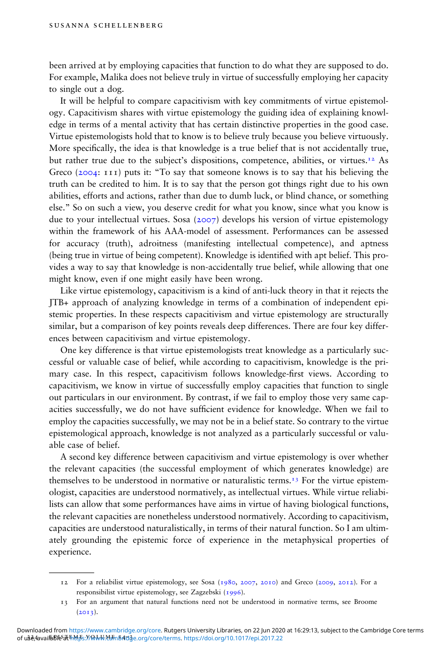been arrived at by employing capacities that function to do what they are supposed to do. For example, Malika does not believe truly in virtue of successfully employing her capacity to single out a dog.

It will be helpful to compare capacitivism with key commitments of virtue epistemology. Capacitivism shares with virtue epistemology the guiding idea of explaining knowledge in terms of a mental activity that has certain distinctive properties in the good case. Virtue epistemologists hold that to know is to believe truly because you believe virtuously. More specifically, the idea is that knowledge is a true belief that is not accidentally true, but rather true due to the subject's dispositions, competence, abilities, or virtues.<sup>12</sup> As Greco ([2004:](#page-16-0) 111) puts it: "To say that someone knows is to say that his believing the truth can be credited to him. It is to say that the person got things right due to his own abilities, efforts and actions, rather than due to dumb luck, or blind chance, or something else." So on such a view, you deserve credit for what you know, since what you know is due to your intellectual virtues. Sosa ([2007](#page-17-0)) develops his version of virtue epistemology within the framework of his AAA-model of assessment. Performances can be assessed for accuracy (truth), adroitness (manifesting intellectual competence), and aptness (being true in virtue of being competent). Knowledge is identified with apt belief. This provides a way to say that knowledge is non-accidentally true belief, while allowing that one might know, even if one might easily have been wrong.

Like virtue epistemology, capacitivism is a kind of anti-luck theory in that it rejects the JTB+ approach of analyzing knowledge in terms of a combination of independent epistemic properties. In these respects capacitivism and virtue epistemology are structurally similar, but a comparison of key points reveals deep differences. There are four key differences between capacitivism and virtue epistemology.

One key difference is that virtue epistemologists treat knowledge as a particularly successful or valuable case of belief, while according to capacitivism, knowledge is the primary case. In this respect, capacitivism follows knowledge-first views. According to capacitivism, we know in virtue of successfully employ capacities that function to single out particulars in our environment. By contrast, if we fail to employ those very same capacities successfully, we do not have sufficient evidence for knowledge. When we fail to employ the capacities successfully, we may not be in a belief state. So contrary to the virtue epistemological approach, knowledge is not analyzed as a particularly successful or valuable case of belief.

A second key difference between capacitivism and virtue epistemology is over whether the relevant capacities (the successful employment of which generates knowledge) are themselves to be understood in normative or naturalistic terms.13 For the virtue epistemologist, capacities are understood normatively, as intellectual virtues. While virtue reliabilists can allow that some performances have aims in virtue of having biological functions, the relevant capacities are nonetheless understood normatively. According to capacitivism, capacities are understood naturalistically, in terms of their natural function. So I am ultimately grounding the epistemic force of experience in the metaphysical properties of experience.

<sup>12</sup> For a reliabilist virtue epistemology, see Sosa [\(1980,](#page-17-0) [2007](#page-17-0), [2010\)](#page-17-0) and Greco [\(2009,](#page-16-0) [2012](#page-16-0)). For a responsibilist virtue epistemology, see Zagzebski [\(1996\)](#page-17-0).

<sup>13</sup> For an argument that natural functions need not be understood in normative terms, see Broome  $(2013)$ .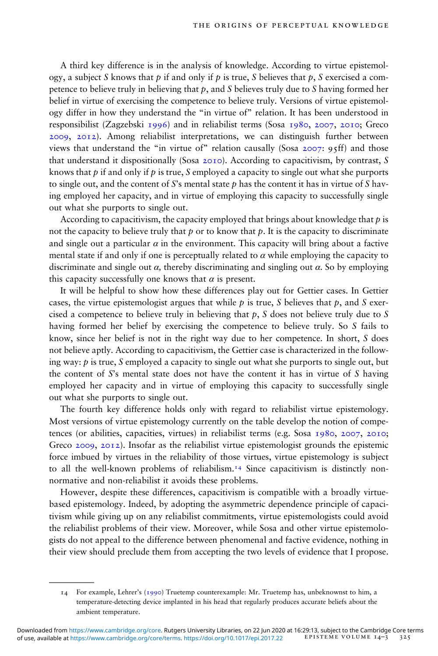A third key difference is in the analysis of knowledge. According to virtue epistemology, a subject S knows that p if and only if p is true, S believes that p, S exercised a competence to believe truly in believing that  $p$ , and S believes truly due to S having formed her belief in virtue of exercising the competence to believe truly. Versions of virtue epistemology differ in how they understand the "in virtue of" relation. It has been understood in responsibilist (Zagzebski [1996\)](#page-17-0) and in reliabilist terms (Sosa [1980,](#page-17-0) [2007,](#page-17-0) [2010](#page-17-0); Greco [2009](#page-16-0), [2012](#page-16-0)). Among reliabilist interpretations, we can distinguish further between views that understand the "in virtue of" relation causally (Sosa  $2007$ : 95ff) and those that understand it dispositionally (Sosa [2010](#page-17-0)). According to capacitivism, by contrast, S knows that  $p$  if and only if  $p$  is true,  $S$  employed a capacity to single out what she purports to single out, and the content of S's mental state  $p$  has the content it has in virtue of S having employed her capacity, and in virtue of employing this capacity to successfully single out what she purports to single out.

According to capacitivism, the capacity employed that brings about knowledge that  $p$  is not the capacity to believe truly that p or to know that p. It is the capacity to discriminate and single out a particular  $\alpha$  in the environment. This capacity will bring about a factive mental state if and only if one is perceptually related to  $\alpha$  while employing the capacity to discriminate and single out  $\alpha$ , thereby discriminating and singling out  $\alpha$ . So by employing this capacity successfully one knows that  $\alpha$  is present.

It will be helpful to show how these differences play out for Gettier cases. In Gettier cases, the virtue epistemologist argues that while  $p$  is true, S believes that  $p$ , and S exercised a competence to believe truly in believing that  $p$ , S does not believe truly due to S having formed her belief by exercising the competence to believe truly. So S fails to know, since her belief is not in the right way due to her competence. In short, S does not believe aptly. According to capacitivism, the Gettier case is characterized in the following way:  $p$  is true, S employed a capacity to single out what she purports to single out, but the content of S's mental state does not have the content it has in virtue of S having employed her capacity and in virtue of employing this capacity to successfully single out what she purports to single out.

The fourth key difference holds only with regard to reliabilist virtue epistemology. Most versions of virtue epistemology currently on the table develop the notion of competences (or abilities, capacities, virtues) in reliabilist terms (e.g. Sosa [1980](#page-17-0), [2007](#page-17-0), [2010](#page-17-0); Greco [2009,](#page-16-0) [2012](#page-16-0)). Insofar as the reliabilist virtue epistemologist grounds the epistemic force imbued by virtues in the reliability of those virtues, virtue epistemology is subject to all the well-known problems of reliabilism.<sup>14</sup> Since capacitivism is distinctly nonnormative and non-reliabilist it avoids these problems.

However, despite these differences, capacitivism is compatible with a broadly virtuebased epistemology. Indeed, by adopting the asymmetric dependence principle of capacitivism while giving up on any reliabilist commitments, virtue epistemologists could avoid the reliabilist problems of their view. Moreover, while Sosa and other virtue epistemologists do not appeal to the difference between phenomenal and factive evidence, nothing in their view should preclude them from accepting the two levels of evidence that I propose.

<sup>14</sup> For example, Lehrer's ([1990](#page-17-0)) Truetemp counterexample: Mr. Truetemp has, unbeknownst to him, a temperature-detecting device implanted in his head that regularly produces accurate beliefs about the ambient temperature.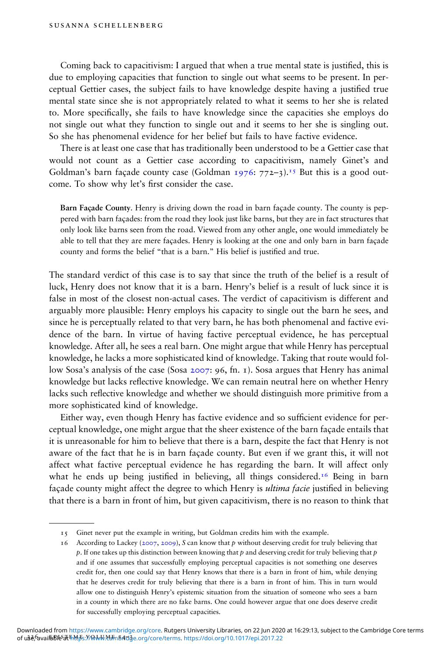Coming back to capacitivism: I argued that when a true mental state is justified, this is due to employing capacities that function to single out what seems to be present. In perceptual Gettier cases, the subject fails to have knowledge despite having a justified true mental state since she is not appropriately related to what it seems to her she is related to. More specifically, she fails to have knowledge since the capacities she employs do not single out what they function to single out and it seems to her she is singling out. So she has phenomenal evidence for her belief but fails to have factive evidence.

There is at least one case that has traditionally been understood to be a Gettier case that would not count as a Gettier case according to capacitivism, namely Ginet's and Goldman's barn façade county case (Goldman [1976](#page-16-0):  $772-3$ ).<sup>15</sup> But this is a good outcome. To show why let's first consider the case.

Barn Façade County. Henry is driving down the road in barn façade county. The county is peppered with barn façades: from the road they look just like barns, but they are in fact structures that only look like barns seen from the road. Viewed from any other angle, one would immediately be able to tell that they are mere façades. Henry is looking at the one and only barn in barn façade county and forms the belief "that is a barn." His belief is justified and true.

The standard verdict of this case is to say that since the truth of the belief is a result of luck, Henry does not know that it is a barn. Henry's belief is a result of luck since it is false in most of the closest non-actual cases. The verdict of capacitivism is different and arguably more plausible: Henry employs his capacity to single out the barn he sees, and since he is perceptually related to that very barn, he has both phenomenal and factive evidence of the barn. In virtue of having factive perceptual evidence, he has perceptual knowledge. After all, he sees a real barn. One might argue that while Henry has perceptual knowledge, he lacks a more sophisticated kind of knowledge. Taking that route would follow Sosa's analysis of the case (Sosa [2007:](#page-17-0) 96, fn. 1). Sosa argues that Henry has animal knowledge but lacks reflective knowledge. We can remain neutral here on whether Henry lacks such reflective knowledge and whether we should distinguish more primitive from a more sophisticated kind of knowledge.

Either way, even though Henry has factive evidence and so sufficient evidence for perceptual knowledge, one might argue that the sheer existence of the barn façade entails that it is unreasonable for him to believe that there is a barn, despite the fact that Henry is not aware of the fact that he is in barn façade county. But even if we grant this, it will not affect what factive perceptual evidence he has regarding the barn. It will affect only what he ends up being justified in believing, all things considered.<sup>16</sup> Being in barn façade county might affect the degree to which Henry is *ultima facie* justified in believing that there is a barn in front of him, but given capacitivism, there is no reason to think that

<sup>15</sup> Ginet never put the example in writing, but Goldman credits him with the example.

<sup>16</sup> According to Lackey [\(2007,](#page-17-0) [2009\)](#page-17-0), S can know that p without deserving credit for truly believing that p. If one takes up this distinction between knowing that p and deserving credit for truly believing that p and if one assumes that successfully employing perceptual capacities is not something one deserves credit for, then one could say that Henry knows that there is a barn in front of him, while denying that he deserves credit for truly believing that there is a barn in front of him. This in turn would allow one to distinguish Henry's epistemic situation from the situation of someone who sees a barn in a county in which there are no fake barns. One could however argue that one does deserve credit for successfully employing perceptual capacities.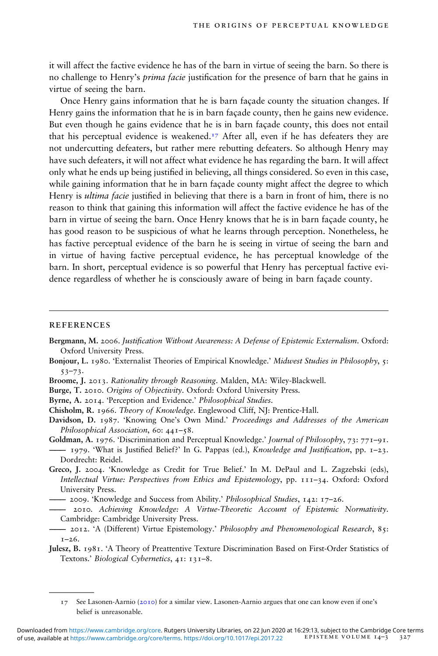<span id="page-16-0"></span>it will affect the factive evidence he has of the barn in virtue of seeing the barn. So there is no challenge to Henry's *prima facie* justification for the presence of barn that he gains in virtue of seeing the barn.

Once Henry gains information that he is barn façade county the situation changes. If Henry gains the information that he is in barn façade county, then he gains new evidence. But even though he gains evidence that he is in barn façade county, this does not entail that his perceptual evidence is weakened.17 After all, even if he has defeaters they are not undercutting defeaters, but rather mere rebutting defeaters. So although Henry may have such defeaters, it will not affect what evidence he has regarding the barn. It will affect only what he ends up being justified in believing, all things considered. So even in this case, while gaining information that he in barn façade county might affect the degree to which Henry is *ultima facie* justified in believing that there is a barn in front of him, there is no reason to think that gaining this information will affect the factive evidence he has of the barn in virtue of seeing the barn. Once Henry knows that he is in barn façade county, he has good reason to be suspicious of what he learns through perception. Nonetheless, he has factive perceptual evidence of the barn he is seeing in virtue of seeing the barn and in virtue of having factive perceptual evidence, he has perceptual knowledge of the barn. In short, perceptual evidence is so powerful that Henry has perceptual factive evidence regardless of whether he is consciously aware of being in barn façade county.

#### **REFERENCES**

- Bergmann, M. 2006. Justification Without Awareness: A Defense of Epistemic Externalism. Oxford: Oxford University Press.
- Bonjour, L. 1980. 'Externalist Theories of Empirical Knowledge.' Midwest Studies in Philosophy, 5: 53–73.
- Broome, J. 2013. Rationality through Reasoning. Malden, MA: Wiley-Blackwell.
- Burge, T. 2010. Origins of Objectivity. Oxford: Oxford University Press.
- Byrne, A. 2014. 'Perception and Evidence.' Philosophical Studies.
- Chisholm, R. 1966. Theory of Knowledge. Englewood Cliff, NJ: Prentice-Hall.
- Davidson, D. 1987. 'Knowing One's Own Mind.' Proceedings and Addresses of the American Philosophical Association, 60: 441-58.
- Goldman, A. 1976. 'Discrimination and Perceptual Knowledge.' Journal of Philosophy, 73: 771–91. — 1979. 'What is Justified Belief?' In G. Pappas (ed.), *Knowledge and Justification*, pp. 1–23. Dordrecht: Reidel.
- Greco, J. 2004. 'Knowledge as Credit for True Belief.' In M. DePaul and L. Zagzebski (eds), Intellectual Virtue: Perspectives from Ethics and Epistemology, pp. 111–34. Oxford: Oxford University Press.
- ——— 2009. 'Knowledge and Success from Ability.' Philosophical Studies, 142: 17–26.
- ——— 2010. Achieving Knowledge: A Virtue-Theoretic Account of Epistemic Normativity. Cambridge: Cambridge University Press.
- ——— 2012. 'A (Different) Virtue Epistemology.' Philosophy and Phenomenological Research, 85:  $T-26.$
- Julesz, B. 1981. 'A Theory of Preattentive Texture Discrimination Based on First-Order Statistics of Textons.' Biological Cybernetics, 41: 131–8.

<sup>17</sup> See Lasonen-Aarnio [\(2010\)](#page-17-0) for a similar view. Lasonen-Aarnio argues that one can know even if one's belief is unreasonable.